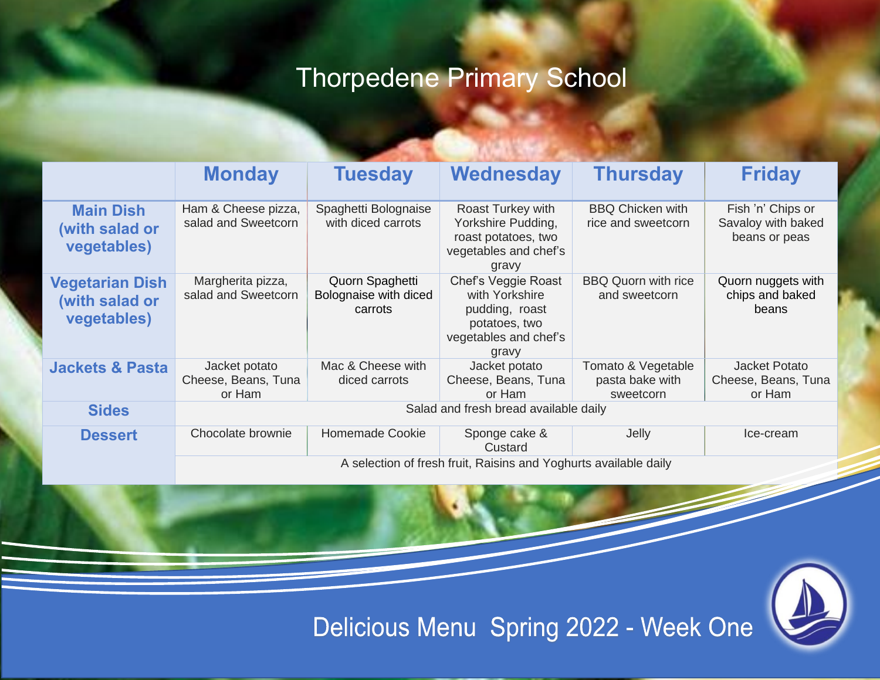## Thorpedene Primary School

|                                                         | <b>Monday</b>                                                    | <b>Tuesday</b>                                      | Wednesday                                                                                                  | <b>Thursday</b>                                    | <b>Friday</b>                                            |  |  |
|---------------------------------------------------------|------------------------------------------------------------------|-----------------------------------------------------|------------------------------------------------------------------------------------------------------------|----------------------------------------------------|----------------------------------------------------------|--|--|
| <b>Main Dish</b><br>(with salad or<br>vegetables)       | Ham & Cheese pizza,<br>salad and Sweetcorn                       | Spaghetti Bolognaise<br>with diced carrots          | Roast Turkey with<br>Yorkshire Pudding,<br>roast potatoes, two<br>vegetables and chef's<br>gravy           | <b>BBQ Chicken with</b><br>rice and sweetcorn      | Fish 'n' Chips or<br>Savaloy with baked<br>beans or peas |  |  |
| <b>Vegetarian Dish</b><br>(with salad or<br>vegetables) | Margherita pizza,<br>salad and Sweetcorn                         | Quorn Spaghetti<br>Bolognaise with diced<br>carrots | Chef's Veggie Roast<br>with Yorkshire<br>pudding, roast<br>potatoes, two<br>vegetables and chef's<br>gravy | <b>BBQ Quorn with rice</b><br>and sweetcorn        | Quorn nuggets with<br>chips and baked<br>beans           |  |  |
| <b>Jackets &amp; Pasta</b>                              | Jacket potato<br>Cheese, Beans, Tuna<br>or Ham                   | Mac & Cheese with<br>diced carrots                  | Jacket potato<br>Cheese, Beans, Tuna<br>or Ham                                                             | Tomato & Vegetable<br>pasta bake with<br>sweetcorn | <b>Jacket Potato</b><br>Cheese, Beans, Tuna<br>or Ham    |  |  |
| <b>Sides</b>                                            | Salad and fresh bread available daily                            |                                                     |                                                                                                            |                                                    |                                                          |  |  |
| <b>Dessert</b>                                          | Chocolate brownie                                                | <b>Homemade Cookie</b>                              | Sponge cake &<br>Custard                                                                                   | Jelly                                              | Ice-cream                                                |  |  |
|                                                         | A selection of fresh fruit, Raisins and Yoghurts available daily |                                                     |                                                                                                            |                                                    |                                                          |  |  |



Delicious Menu Spring 2022 - Week One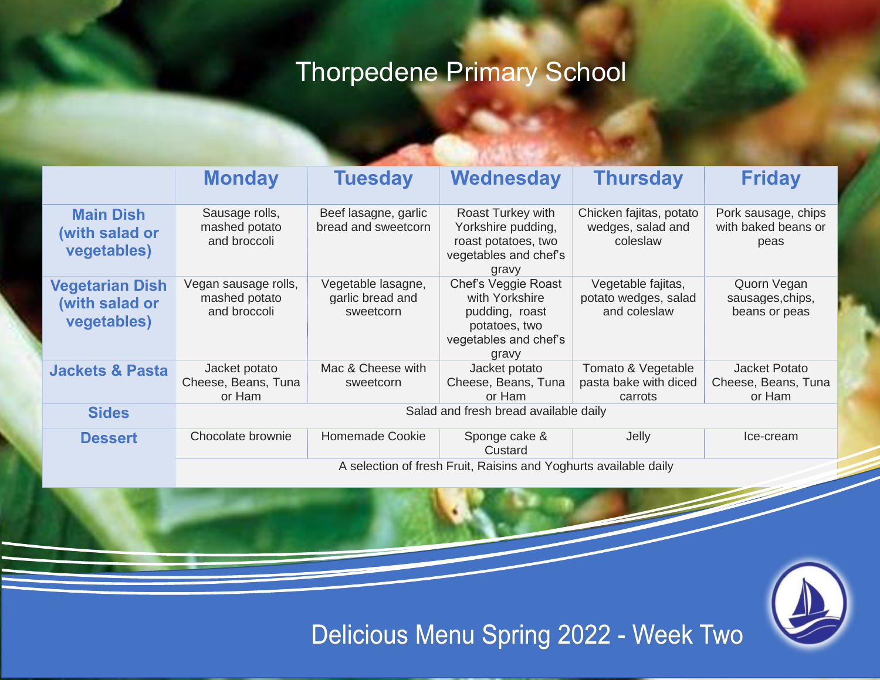## Thorpedene Primary School

|                                                         | <b>Monday</b>                                                    | <b>Tuesday</b>                                      | Wednesday                                                                                                  | <b>Thursday</b>                                            | <b>Friday</b>                                      |  |  |
|---------------------------------------------------------|------------------------------------------------------------------|-----------------------------------------------------|------------------------------------------------------------------------------------------------------------|------------------------------------------------------------|----------------------------------------------------|--|--|
| <b>Main Dish</b><br>(with salad or<br>vegetables)       | Sausage rolls,<br>mashed potato<br>and broccoli                  | Beef lasagne, garlic<br>bread and sweetcorn         | Roast Turkey with<br>Yorkshire pudding,<br>roast potatoes, two<br>vegetables and chef's<br>gravy           | Chicken fajitas, potato<br>wedges, salad and<br>coleslaw   | Pork sausage, chips<br>with baked beans or<br>peas |  |  |
| <b>Vegetarian Dish</b><br>(with salad or<br>vegetables) | Vegan sausage rolls,<br>mashed potato<br>and broccoli            | Vegetable lasagne,<br>garlic bread and<br>sweetcorn | Chef's Veggie Roast<br>with Yorkshire<br>pudding, roast<br>potatoes, two<br>vegetables and chef's<br>gravy | Vegetable fajitas,<br>potato wedges, salad<br>and coleslaw | Quorn Vegan<br>sausages, chips,<br>beans or peas   |  |  |
| <b>Jackets &amp; Pasta</b>                              | Jacket potato<br>Cheese, Beans, Tuna<br>or Ham                   | Mac & Cheese with<br>sweetcorn                      | Jacket potato<br>Cheese, Beans, Tuna<br>or Ham                                                             | Tomato & Vegetable<br>pasta bake with diced<br>carrots     | Jacket Potato<br>Cheese, Beans, Tuna<br>or Ham     |  |  |
| <b>Sides</b>                                            | Salad and fresh bread available daily                            |                                                     |                                                                                                            |                                                            |                                                    |  |  |
| <b>Dessert</b>                                          | Chocolate brownie                                                | <b>Homemade Cookie</b>                              | Sponge cake &<br>Custard                                                                                   | Jelly                                                      | Ice-cream                                          |  |  |
|                                                         | A selection of fresh Fruit, Raisins and Yoghurts available daily |                                                     |                                                                                                            |                                                            |                                                    |  |  |



Delicious Menu Spring 2022 - Week Two